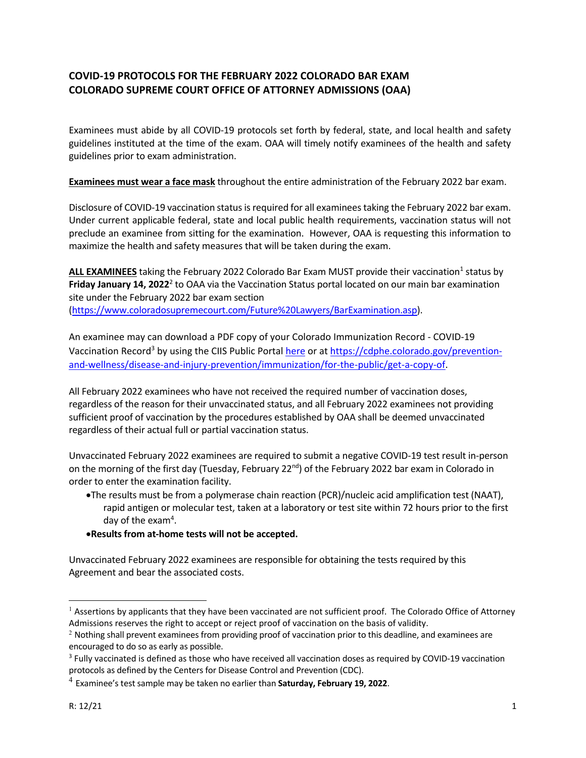## **COVID‐19 PROTOCOLS FOR THE FEBRUARY 2022 COLORADO BAR EXAM COLORADO SUPREME COURT OFFICE OF ATTORNEY ADMISSIONS (OAA)**

Examinees must abide by all COVID‐19 protocols set forth by federal, state, and local health and safety guidelines instituted at the time of the exam. OAA will timely notify examinees of the health and safety guidelines prior to exam administration.

**Examinees must wear a face mask** throughout the entire administration of the February 2022 bar exam.

Disclosure of COVID‐19 vaccination status is required for all examinees taking the February 2022 bar exam. Under current applicable federal, state and local public health requirements, vaccination status will not preclude an examinee from sitting for the examination. However, OAA is requesting this information to maximize the health and safety measures that will be taken during the exam.

ALL EXAMINEES taking the February 2022 Colorado Bar Exam MUST provide their vaccination<sup>1</sup> status by Friday January 14, 2022<sup>2</sup> to OAA via the Vaccination Status portal located on our main bar examination site under the February 2022 bar exam section

(https://www.coloradosupremecourt.com/Future%20Lawyers/BarExamination.asp).

An examinee may can download a PDF copy of your Colorado Immunization Record ‐ COVID‐19 Vaccination Record<sup>3</sup> by using the CIIS Public Portal <u>here</u> or at *https://cdphe.colorado.gov/prevention*and‐wellness/disease‐and‐injury‐prevention/immunization/for‐the‐public/get‐a‐copy‐of.

All February 2022 examinees who have not received the required number of vaccination doses, regardless of the reason for their unvaccinated status, and all February 2022 examinees not providing sufficient proof of vaccination by the procedures established by OAA shall be deemed unvaccinated regardless of their actual full or partial vaccination status.

Unvaccinated February 2022 examinees are required to submit a negative COVID‐19 test result in‐person on the morning of the first day (Tuesday, February 22<sup>nd</sup>) of the February 2022 bar exam in Colorado in order to enter the examination facility.

The results must be from a polymerase chain reaction (PCR)/nucleic acid amplification test (NAAT), rapid antigen or molecular test, taken at a laboratory or test site within 72 hours prior to the first day of the exam<sup>4</sup>.

## **Results from at‐home tests will not be accepted.**

Unvaccinated February 2022 examinees are responsible for obtaining the tests required by this Agreement and bear the associated costs.

 $\overline{a}$ 

 $<sup>1</sup>$  Assertions by applicants that they have been vaccinated are not sufficient proof. The Colorado Office of Attorney</sup> Admissions reserves the right to accept or reject proof of vaccination on the basis of validity.<br><sup>2</sup> Nothing shall prevent examinees from providing proof of vaccination prior to this deadline, and examinees are

encouraged to do so as early as possible.

<sup>&</sup>lt;sup>3</sup> Fully vaccinated is defined as those who have received all vaccination doses as required by COVID-19 vaccination protocols as defined by the Centers for Disease Control and Prevention (CDC).

<sup>4</sup> Examinee's test sample may be taken no earlier than **Saturday, February 19, 2022**.